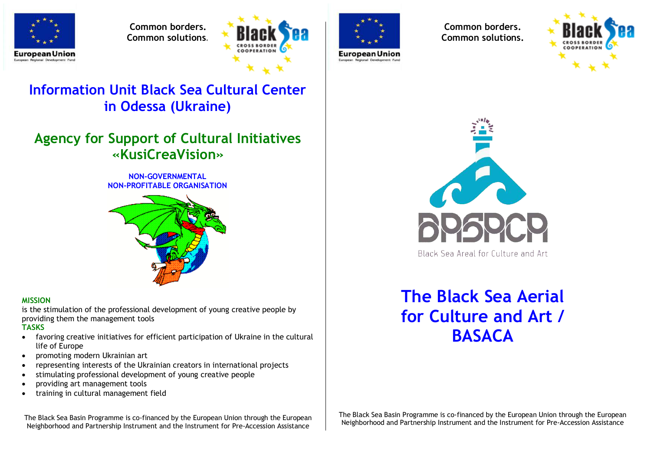

**Common borders. Common solutions.**



# **Information Unit Black Sea Cultural Center in Odessa (Ukraine)**

# **Agency for Support of Cultural Initiatives «KusiCreaVision»**

#### **NON-GOVERNMENTAL NON-PROFITABLE ORGANISATION**



#### **MISSION**

is the stimulation of the professional development of young creative people by providing them the management tools

#### **TASKS**

- · favoring creative initiatives for efficient participation of Ukraine in the cultural life of Europe
- · promoting modern Ukrainian art
- · representing interests of the Ukrainian creators in international projects
- · stimulating professional development of young creative people
- · providing art management tools
- · training in cultural management field

The Black Sea Basin Programme is co-financed by the European Union through the European Neighborhood and Partnership Instrument and the Instrument for Pre-Accession Assistance



**European Union** 

**Common borders. Common solutions.**





# **The Black Sea Aerial for Culture and Art / BASACA**

The Black Sea Basin Programme is co-financed by the European Union through the European Neighborhood and Partnership Instrument and the Instrument for Pre-Accession Assistance